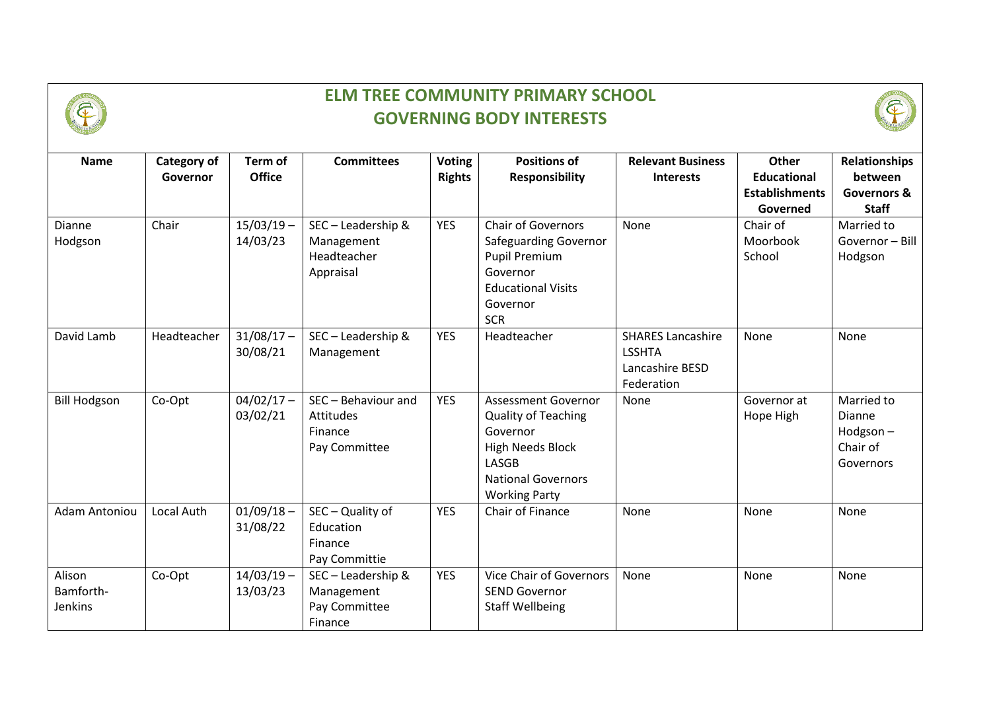

## **ELM TREE COMMUNITY PRIMARY SCHOOL GOVERNING BODY INTERESTS**



| <b>Name</b>                    | <b>Category of</b><br>Governor | Term of<br><b>Office</b> | <b>Committees</b>                                                   | <b>Voting</b><br><b>Rights</b> | <b>Positions of</b><br><b>Responsibility</b>                                                                                                                  | <b>Relevant Business</b><br><b>Interests</b>                               | <b>Other</b><br><b>Educational</b><br><b>Establishments</b><br>Governed | <b>Relationships</b><br>between<br><b>Governors &amp;</b><br><b>Staff</b> |
|--------------------------------|--------------------------------|--------------------------|---------------------------------------------------------------------|--------------------------------|---------------------------------------------------------------------------------------------------------------------------------------------------------------|----------------------------------------------------------------------------|-------------------------------------------------------------------------|---------------------------------------------------------------------------|
| Dianne<br>Hodgson              | Chair                          | $15/03/19 -$<br>14/03/23 | SEC-Leadership &<br>Management<br>Headteacher<br>Appraisal          | <b>YES</b>                     | <b>Chair of Governors</b><br><b>Safeguarding Governor</b><br>Pupil Premium<br>Governor<br><b>Educational Visits</b><br>Governor<br><b>SCR</b>                 | None                                                                       | Chair of<br>Moorbook<br>School                                          | Married to<br>Governor - Bill<br>Hodgson                                  |
| David Lamb                     | Headteacher                    | $31/08/17 -$<br>30/08/21 | SEC-Leadership &<br>Management                                      | <b>YES</b>                     | Headteacher                                                                                                                                                   | <b>SHARES Lancashire</b><br><b>LSSHTA</b><br>Lancashire BESD<br>Federation | None                                                                    | None                                                                      |
| <b>Bill Hodgson</b>            | Co-Opt                         | $04/02/17 -$<br>03/02/21 | SEC - Behaviour and<br><b>Attitudes</b><br>Finance<br>Pay Committee | <b>YES</b>                     | <b>Assessment Governor</b><br><b>Quality of Teaching</b><br>Governor<br><b>High Needs Block</b><br>LASGB<br><b>National Governors</b><br><b>Working Party</b> | None                                                                       | Governor at<br>Hope High                                                | Married to<br>Dianne<br>Hodgson $-$<br>Chair of<br>Governors              |
| <b>Adam Antoniou</b>           | Local Auth                     | $01/09/18 -$<br>31/08/22 | SEC - Quality of<br>Education<br>Finance<br>Pay Committie           | <b>YES</b>                     | Chair of Finance                                                                                                                                              | None                                                                       | None                                                                    | None                                                                      |
| Alison<br>Bamforth-<br>Jenkins | Co-Opt                         | $14/03/19 -$<br>13/03/23 | SEC - Leadership &<br>Management<br>Pay Committee<br>Finance        | <b>YES</b>                     | <b>Vice Chair of Governors</b><br><b>SEND Governor</b><br><b>Staff Wellbeing</b>                                                                              | None                                                                       | None                                                                    | None                                                                      |